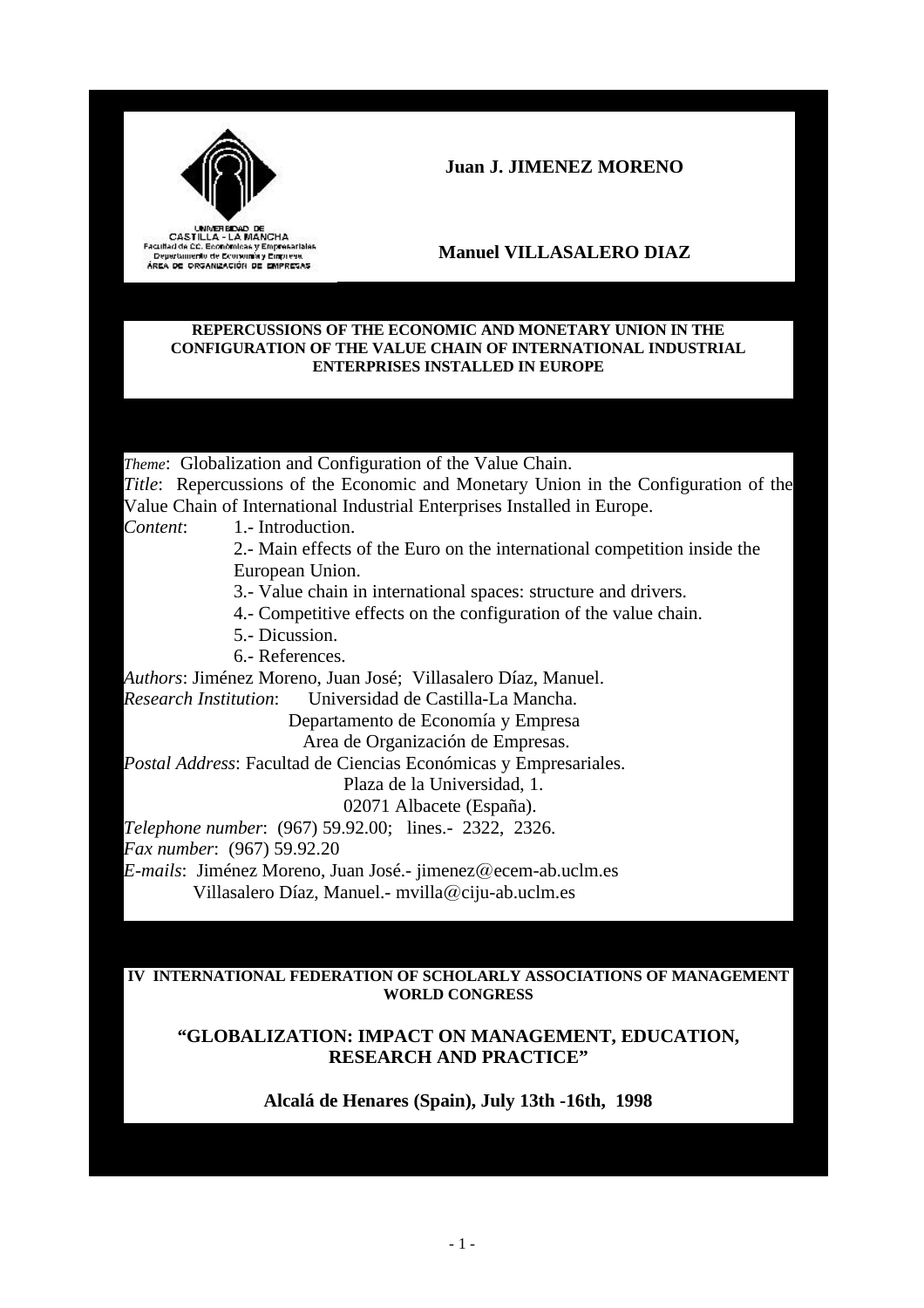

CASTILLA - LA MANCHA<br>Facultad de CC. Económicas y Empresariales<br>Depertamento de Economia y Empresa. AREA DE ORGANIZACIÓN DE EMPRESAS

## **Juan J. JIMENEZ MORENO**

# **Manuel VILLASALERO DIAZ**

#### **REPERCUSSIONS OF THE ECONOMIC AND MONETARY UNION IN THE CONFIGURATION OF THE VALUE CHAIN OF INTERNATIONAL INDUSTRIAL ENTERPRISES INSTALLED IN EUROPE**

*Theme*: Globalization and Configuration of the Value Chain. *Title*: Repercussions of the Economic and Monetary Union in the Configuration of the Value Chain of International Industrial Enterprises Installed in Europe.

*Content*: 1.- Introduction.

2.- Main effects of the Euro on the international competition inside the European Union.

3.- Value chain in international spaces: structure and drivers.

4.- Competitive effects on the configuration of the value chain.

- 5.- Dicussion.
- 6.- References.

*Authors*: Jiménez Moreno, Juan José; Villasalero Díaz, Manuel. *Research Institution*: Universidad de Castilla-La Mancha.

> Departamento de Economía y Empresa Area de Organización de Empresas.

*Postal Address*: Facultad de Ciencias Económicas y Empresariales.

Plaza de la Universidad, 1.

02071 Albacete (España).

*Telephone number*: (967) 59.92.00; lines.- 2322, 2326.

*Fax number*: (967) 59.92.20

*E-mails*: Jiménez Moreno, Juan José.- jimenez@ecem-ab.uclm.es Villasalero Díaz, Manuel.- mvilla@ciju-ab.uclm.es

#### **IV INTERNATIONAL FEDERATION OF SCHOLARLY ASSOCIATIONS OF MANAGEMENT WORLD CONGRESS**

## **"GLOBALIZATION: IMPACT ON MANAGEMENT, EDUCATION, RESEARCH AND PRACTICE"**

## **Alcalá de Henares (Spain), July 13th -16th, 1998**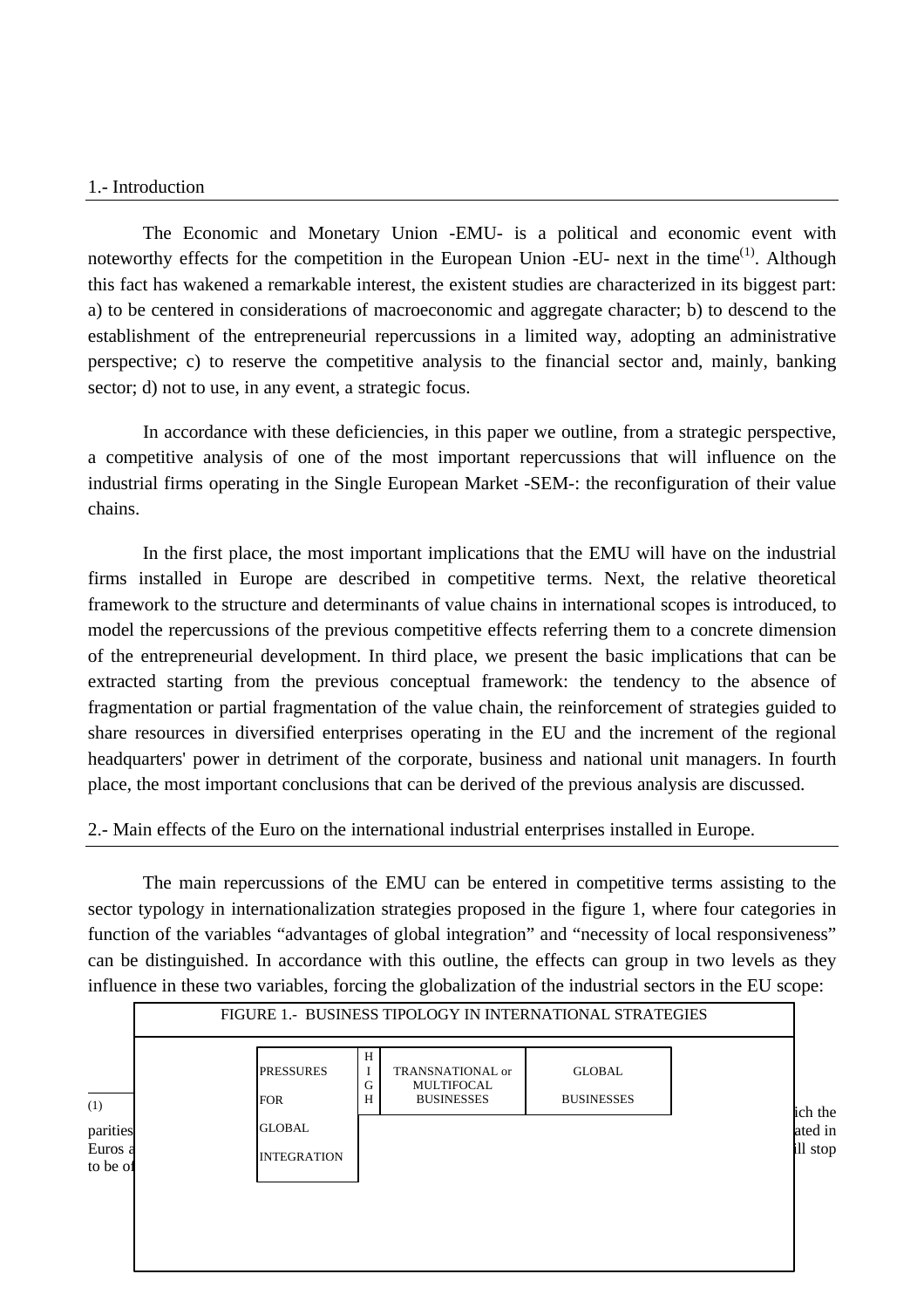#### 1.- Introduction

The Economic and Monetary Union -EMU- is a political and economic event with noteworthy effects for the competition in the European Union -EU- next in the time<sup>(1)</sup>. Although this fact has wakened a remarkable interest, the existent studies are characterized in its biggest part: a) to be centered in considerations of macroeconomic and aggregate character; b) to descend to the establishment of the entrepreneurial repercussions in a limited way, adopting an administrative perspective; c) to reserve the competitive analysis to the financial sector and, mainly, banking sector; d) not to use, in any event, a strategic focus.

In accordance with these deficiencies, in this paper we outline, from a strategic perspective, a competitive analysis of one of the most important repercussions that will influence on the industrial firms operating in the Single European Market -SEM-: the reconfiguration of their value chains.

In the first place, the most important implications that the EMU will have on the industrial firms installed in Europe are described in competitive terms. Next, the relative theoretical framework to the structure and determinants of value chains in international scopes is introduced, to model the repercussions of the previous competitive effects referring them to a concrete dimension of the entrepreneurial development. In third place, we present the basic implications that can be extracted starting from the previous conceptual framework: the tendency to the absence of fragmentation or partial fragmentation of the value chain, the reinforcement of strategies guided to share resources in diversified enterprises operating in the EU and the increment of the regional headquarters' power in detriment of the corporate, business and national unit managers. In fourth place, the most important conclusions that can be derived of the previous analysis are discussed.

## 2.- Main effects of the Euro on the international industrial enterprises installed in Europe.

The main repercussions of the EMU can be entered in competitive terms assisting to the sector typology in internationalization strategies proposed in the figure 1, where four categories in function of the variables "advantages of global integration" and "necessity of local responsiveness" can be distinguished. In accordance with this outline, the effects can group in two levels as they influence in these two variables, forcing the globalization of the industrial sectors in the EU scope:

|                     | <b>PRESSURES</b>   | H<br>G | TRANSNATIONAL or<br><b>MULTIFOCAL</b> | <b>GLOBAL</b>     |          |
|---------------------|--------------------|--------|---------------------------------------|-------------------|----------|
| (1)                 | <b>FOR</b>         | Н      | <b>BUSINESSES</b>                     | <b>BUSINESSES</b> | ich the  |
| parities            | <b>GLOBAL</b>      |        |                                       |                   | ated in  |
| Euros a<br>to be of | <b>INTEGRATION</b> |        |                                       |                   | ill stop |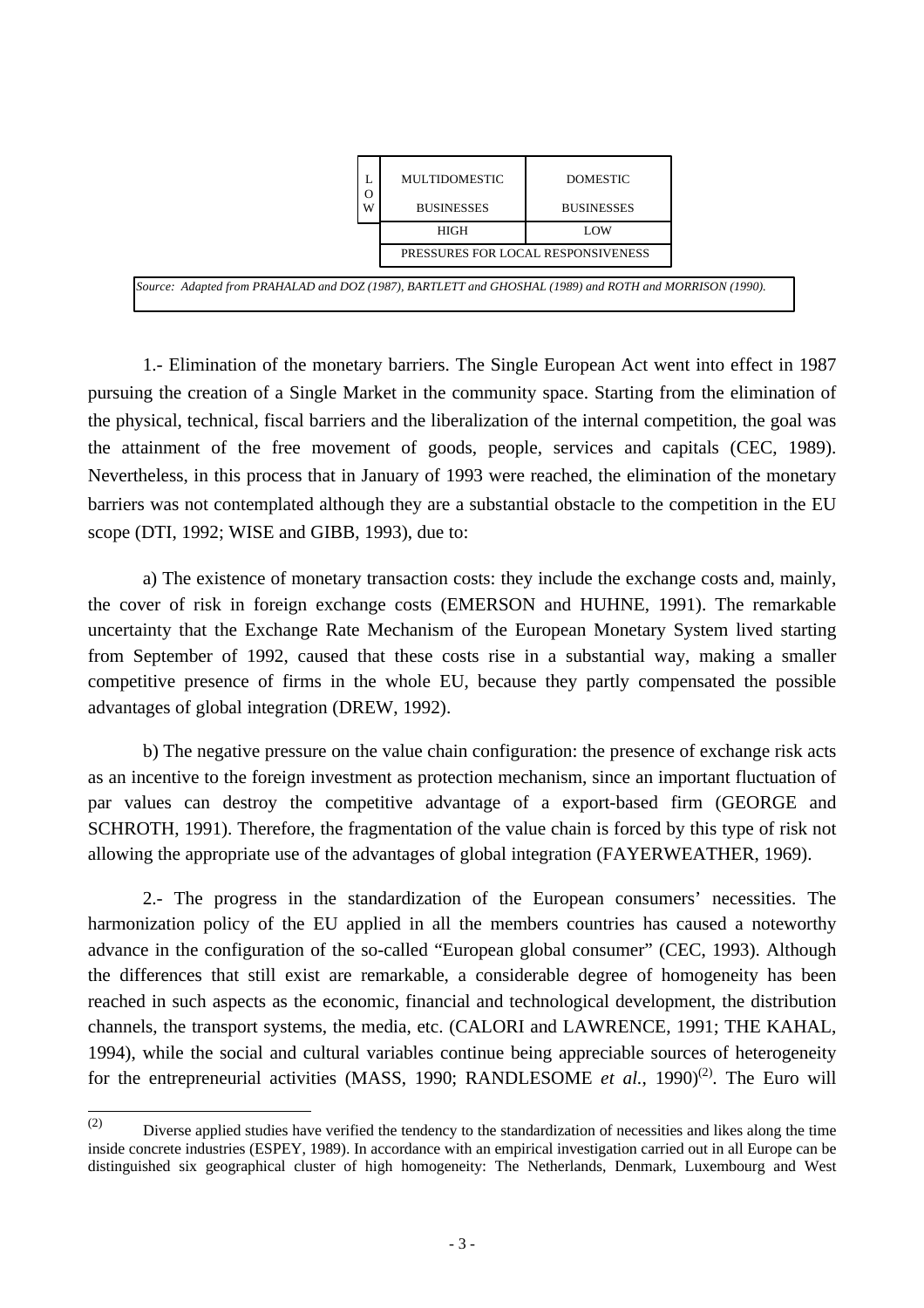|                                                                                                         |   | MULTIDOMESTIC                      | <b>DOMESTIC</b>   |
|---------------------------------------------------------------------------------------------------------|---|------------------------------------|-------------------|
|                                                                                                         | W | <b>BUSINESSES</b>                  | <b>BUSINESSES</b> |
|                                                                                                         |   | <b>HIGH</b>                        | LOW               |
|                                                                                                         |   | PRESSURES FOR LOCAL RESPONSIVENESS |                   |
| Source: Adapted from PRAHALAD and DOZ (1987), BARTLETT and GHOSHAL (1989) and ROTH and MORRISON (1990). |   |                                    |                   |

1.- Elimination of the monetary barriers. The Single European Act went into effect in 1987 pursuing the creation of a Single Market in the community space. Starting from the elimination of the physical, technical, fiscal barriers and the liberalization of the internal competition, the goal was the attainment of the free movement of goods, people, services and capitals (CEC, 1989). Nevertheless, in this process that in January of 1993 were reached, the elimination of the monetary barriers was not contemplated although they are a substantial obstacle to the competition in the EU scope (DTI, 1992; WISE and GIBB, 1993), due to:

a) The existence of monetary transaction costs: they include the exchange costs and, mainly, the cover of risk in foreign exchange costs (EMERSON and HUHNE, 1991). The remarkable uncertainty that the Exchange Rate Mechanism of the European Monetary System lived starting from September of 1992, caused that these costs rise in a substantial way, making a smaller competitive presence of firms in the whole EU, because they partly compensated the possible advantages of global integration (DREW, 1992).

b) The negative pressure on the value chain configuration: the presence of exchange risk acts as an incentive to the foreign investment as protection mechanism, since an important fluctuation of par values can destroy the competitive advantage of a export-based firm (GEORGE and SCHROTH, 1991). Therefore, the fragmentation of the value chain is forced by this type of risk not allowing the appropriate use of the advantages of global integration (FAYERWEATHER, 1969).

2.- The progress in the standardization of the European consumers' necessities. The harmonization policy of the EU applied in all the members countries has caused a noteworthy advance in the configuration of the so-called "European global consumer" (CEC, 1993). Although the differences that still exist are remarkable, a considerable degree of homogeneity has been reached in such aspects as the economic, financial and technological development, the distribution channels, the transport systems, the media, etc. (CALORI and LAWRENCE, 1991; THE KAHAL, 1994), while the social and cultural variables continue being appreciable sources of heterogeneity for the entrepreneurial activities (MASS, 1990; RANDLESOME *et al.*, 1990)<sup>(2)</sup>. The Euro will

 $\frac{1}{(2)}$ Diverse applied studies have verified the tendency to the standardization of necessities and likes along the time inside concrete industries (ESPEY, 1989). In accordance with an empirical investigation carried out in all Europe can be distinguished six geographical cluster of high homogeneity: The Netherlands, Denmark, Luxembourg and West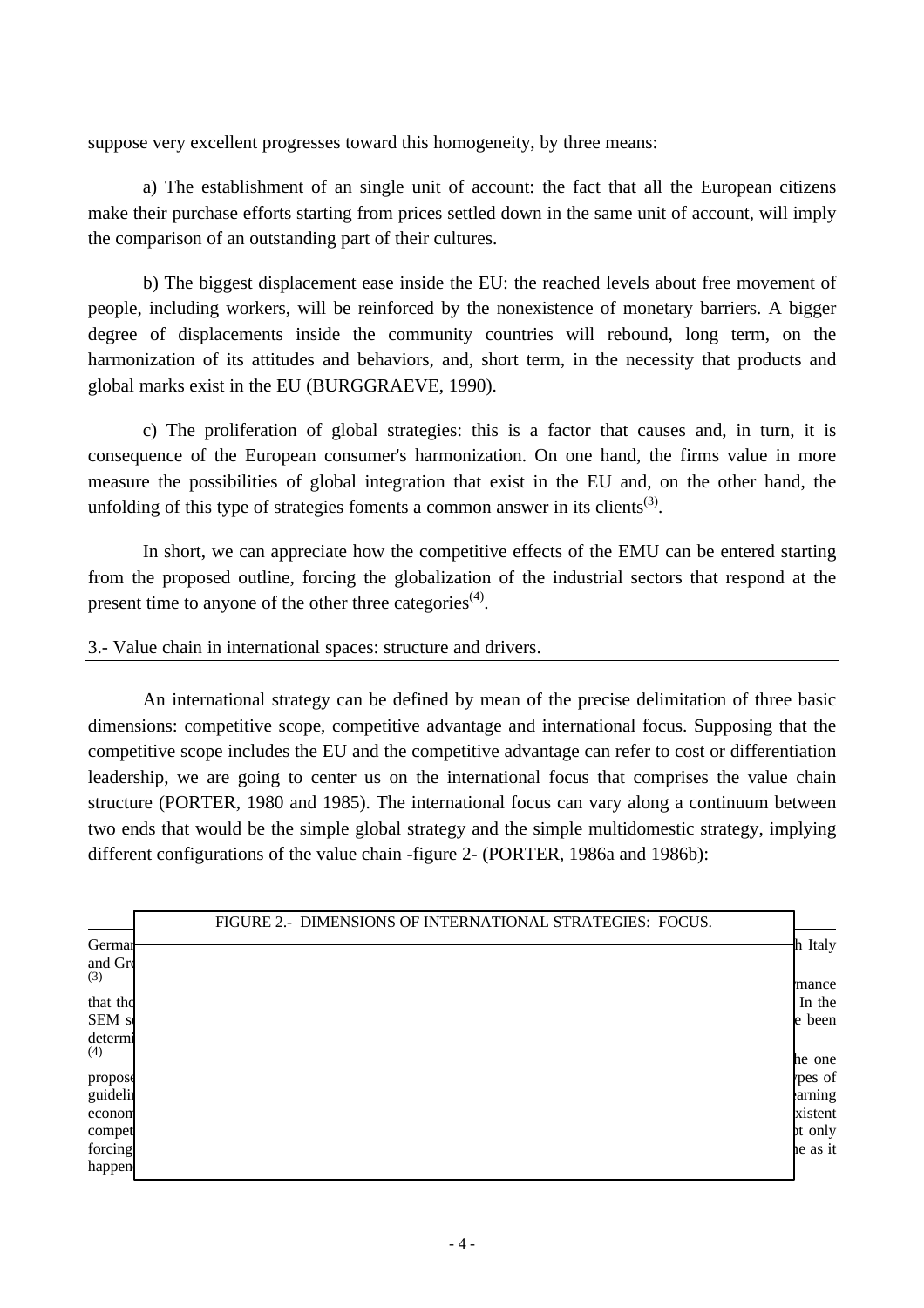suppose very excellent progresses toward this homogeneity, by three means:

a) The establishment of an single unit of account: the fact that all the European citizens make their purchase efforts starting from prices settled down in the same unit of account, will imply the comparison of an outstanding part of their cultures.

b) The biggest displacement ease inside the EU: the reached levels about free movement of people, including workers, will be reinforced by the nonexistence of monetary barriers. A bigger degree of displacements inside the community countries will rebound, long term, on the harmonization of its attitudes and behaviors, and, short term, in the necessity that products and global marks exist in the EU (BURGGRAEVE, 1990).

c) The proliferation of global strategies: this is a factor that causes and, in turn, it is consequence of the European consumer's harmonization. On one hand, the firms value in more measure the possibilities of global integration that exist in the EU and, on the other hand, the unfolding of this type of strategies foments a common answer in its clients<sup>(3)</sup>.

In short, we can appreciate how the competitive effects of the EMU can be entered starting from the proposed outline, forcing the globalization of the industrial sectors that respond at the present time to anyone of the other three categories<sup>(4)</sup>.

3.- Value chain in international spaces: structure and drivers.

An international strategy can be defined by mean of the precise delimitation of three basic dimensions: competitive scope, competitive advantage and international focus. Supposing that the competitive scope includes the EU and the competitive advantage can refer to cost or differentiation leadership, we are going to center us on the international focus that comprises the value chain structure (PORTER, 1980 and 1985). The international focus can vary along a continuum between two ends that would be the simple global strategy and the simple multidomestic strategy, implying different configurations of the value chain -figure 2- (PORTER, 1986a and 1986b):

|                              | FIGURE 2.- DIMENSIONS OF INTERNATIONAL STRATEGIES: FOCUS. |                                         |
|------------------------------|-----------------------------------------------------------|-----------------------------------------|
| German<br>and Gre<br>(3)     |                                                           | h Italy                                 |
| that the<br>SEM s<br>determi |                                                           | mance<br>In the<br>le been              |
| (4)<br>propose               |                                                           | he one<br>rpes of                       |
| guidelin<br>econom<br>compet |                                                           | arning<br>xistent<br><sub>pt</sub> only |
| forcing<br>happen            |                                                           | he as it                                |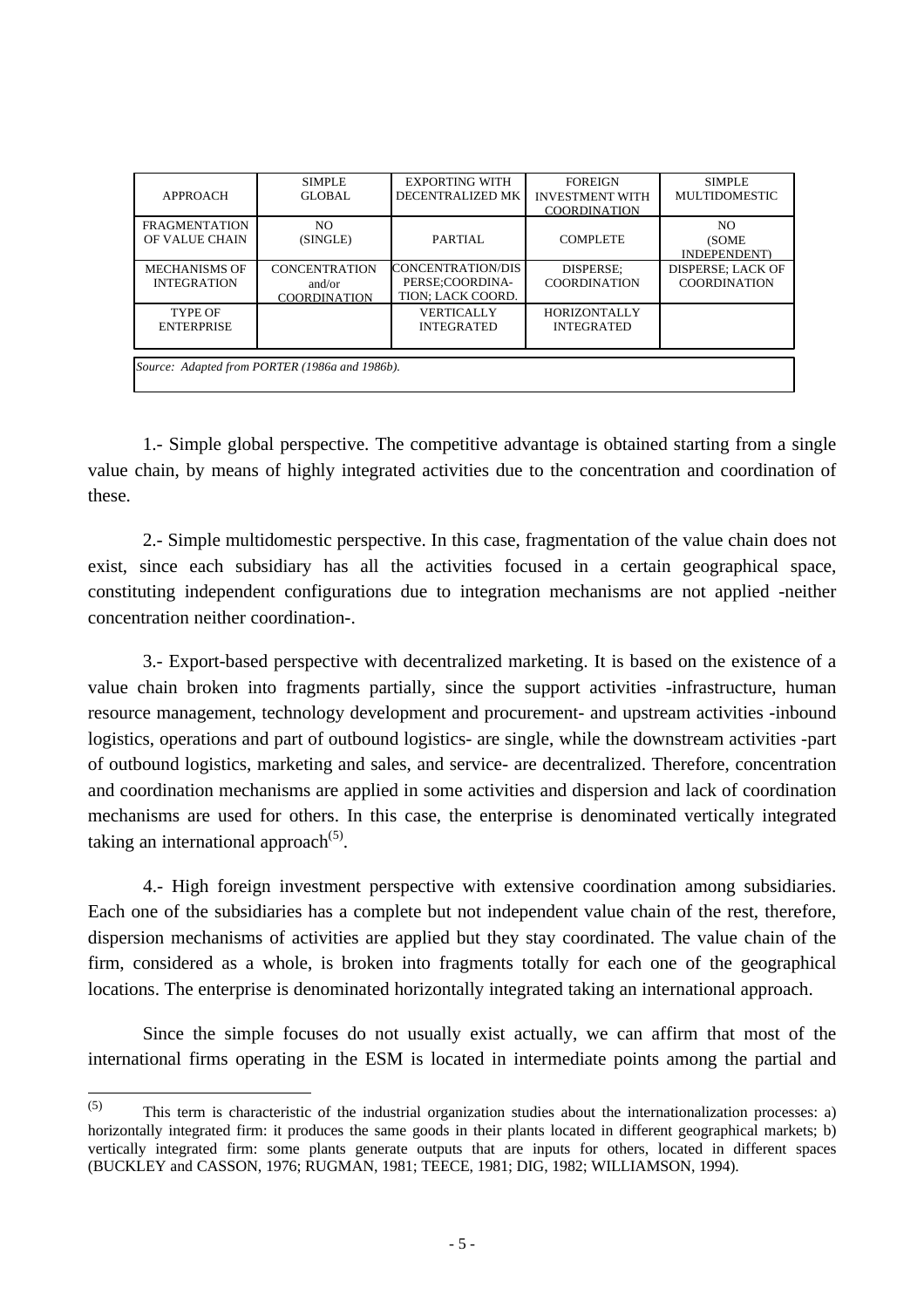| APPROACH                                       | <b>SIMPLE</b><br>GLOBAL                               | <b>EXPORTING WITH</b><br>DECENTRALIZED MK                 | <b>FOREIGN</b><br><b>INVESTMENT WITH</b><br><b>COORDINATION</b> | <b>SIMPLE</b><br>MULTIDOMESTIC                  |  |  |
|------------------------------------------------|-------------------------------------------------------|-----------------------------------------------------------|-----------------------------------------------------------------|-------------------------------------------------|--|--|
| <b>FRAGMENTATION</b><br>OF VALUE CHAIN         | NO.<br>(SINGLE)                                       | PARTIAL                                                   | <b>COMPLETE</b>                                                 | NO.<br>(SOME<br>INDEPENDENT)                    |  |  |
| <b>MECHANISMS OF</b><br><b>INTEGRATION</b>     | <b>CONCENTRATION</b><br>and/or<br><b>COORDINATION</b> | CONCENTRATION/DIS<br>PERSE:COORDINA-<br>TION; LACK COORD. | DISPERSE:<br><b>COORDINATION</b>                                | <b>DISPERSE; LACK OF</b><br><b>COORDINATION</b> |  |  |
| TYPE OF<br><b>ENTERPRISE</b>                   |                                                       | <b>VERTICALLY</b><br><b>INTEGRATED</b>                    | <b>HORIZONTALLY</b><br><b>INTEGRATED</b>                        |                                                 |  |  |
| Source: Adapted from PORTER (1986a and 1986b). |                                                       |                                                           |                                                                 |                                                 |  |  |

1.- Simple global perspective. The competitive advantage is obtained starting from a single value chain, by means of highly integrated activities due to the concentration and coordination of these.

2.- Simple multidomestic perspective. In this case, fragmentation of the value chain does not exist, since each subsidiary has all the activities focused in a certain geographical space, constituting independent configurations due to integration mechanisms are not applied -neither concentration neither coordination-.

3.- Export-based perspective with decentralized marketing. It is based on the existence of a value chain broken into fragments partially, since the support activities -infrastructure, human resource management, technology development and procurement- and upstream activities -inbound logistics, operations and part of outbound logistics- are single, while the downstream activities -part of outbound logistics, marketing and sales, and service- are decentralized. Therefore, concentration and coordination mechanisms are applied in some activities and dispersion and lack of coordination mechanisms are used for others. In this case, the enterprise is denominated vertically integrated taking an international approach $(5)$ .

4.- High foreign investment perspective with extensive coordination among subsidiaries. Each one of the subsidiaries has a complete but not independent value chain of the rest, therefore, dispersion mechanisms of activities are applied but they stay coordinated. The value chain of the firm, considered as a whole, is broken into fragments totally for each one of the geographical locations. The enterprise is denominated horizontally integrated taking an international approach.

Since the simple focuses do not usually exist actually, we can affirm that most of the international firms operating in the ESM is located in intermediate points among the partial and

 $\frac{1}{(5)}$ This term is characteristic of the industrial organization studies about the internationalization processes: a) horizontally integrated firm: it produces the same goods in their plants located in different geographical markets; b) vertically integrated firm: some plants generate outputs that are inputs for others, located in different spaces (BUCKLEY and CASSON, 1976; RUGMAN, 1981; TEECE, 1981; DIG, 1982; WILLIAMSON, 1994).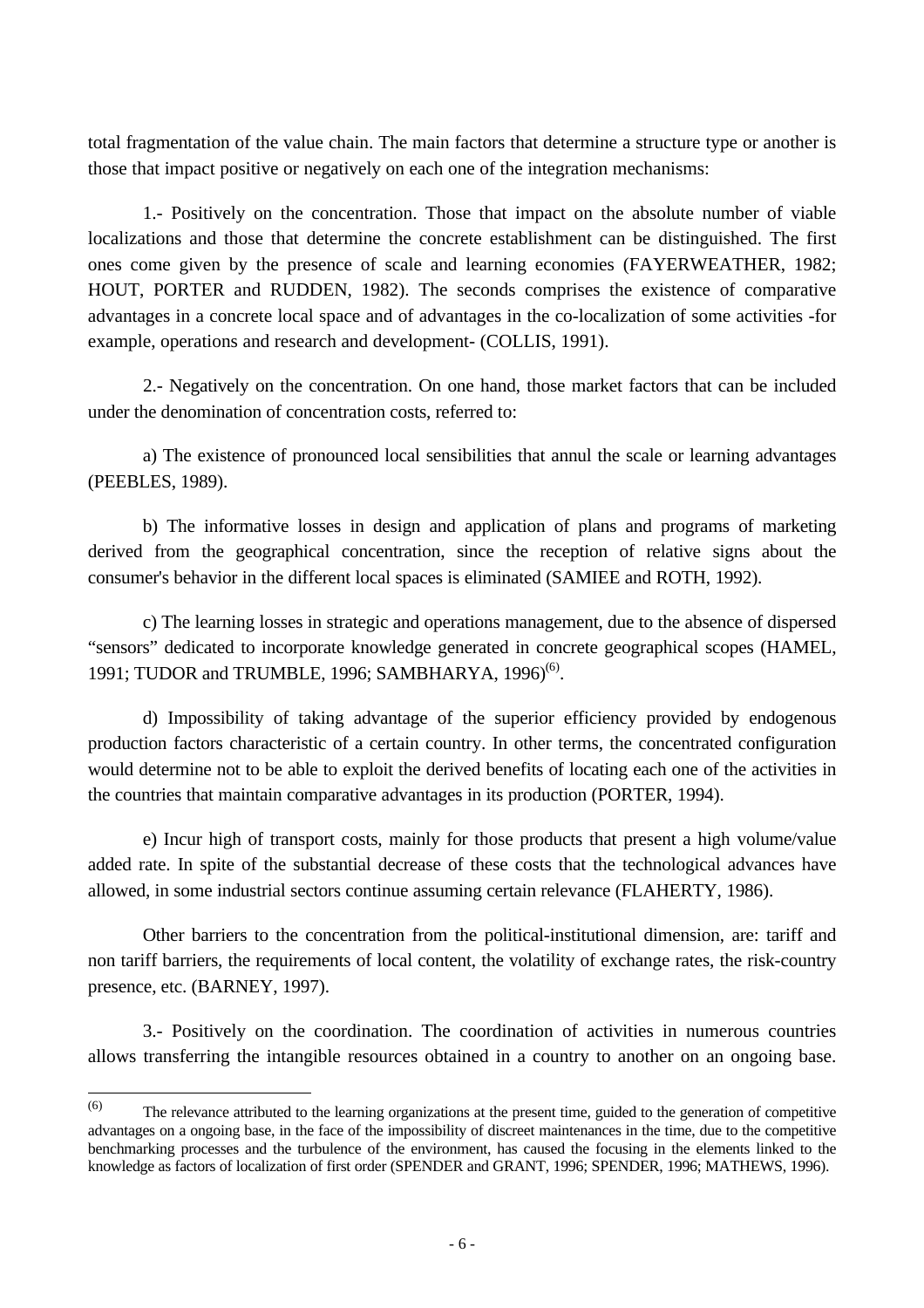total fragmentation of the value chain. The main factors that determine a structure type or another is those that impact positive or negatively on each one of the integration mechanisms:

1.- Positively on the concentration. Those that impact on the absolute number of viable localizations and those that determine the concrete establishment can be distinguished. The first ones come given by the presence of scale and learning economies (FAYERWEATHER, 1982; HOUT, PORTER and RUDDEN, 1982). The seconds comprises the existence of comparative advantages in a concrete local space and of advantages in the co-localization of some activities -for example, operations and research and development- (COLLIS, 1991).

2.- Negatively on the concentration. On one hand, those market factors that can be included under the denomination of concentration costs, referred to:

a) The existence of pronounced local sensibilities that annul the scale or learning advantages (PEEBLES, 1989).

b) The informative losses in design and application of plans and programs of marketing derived from the geographical concentration, since the reception of relative signs about the consumer's behavior in the different local spaces is eliminated (SAMIEE and ROTH, 1992).

c) The learning losses in strategic and operations management, due to the absence of dispersed "sensors" dedicated to incorporate knowledge generated in concrete geographical scopes (HAMEL, 1991; TUDOR and TRUMBLE, 1996; SAMBHARYA, 1996)<sup>(6)</sup>.

d) Impossibility of taking advantage of the superior efficiency provided by endogenous production factors characteristic of a certain country. In other terms, the concentrated configuration would determine not to be able to exploit the derived benefits of locating each one of the activities in the countries that maintain comparative advantages in its production (PORTER, 1994).

e) Incur high of transport costs, mainly for those products that present a high volume/value added rate. In spite of the substantial decrease of these costs that the technological advances have allowed, in some industrial sectors continue assuming certain relevance (FLAHERTY, 1986).

Other barriers to the concentration from the political-institutional dimension, are: tariff and non tariff barriers, the requirements of local content, the volatility of exchange rates, the risk-country presence, etc. (BARNEY, 1997).

3.- Positively on the coordination. The coordination of activities in numerous countries allows transferring the intangible resources obtained in a country to another on an ongoing base.

 $\frac{1}{(6)}$ The relevance attributed to the learning organizations at the present time, guided to the generation of competitive advantages on a ongoing base, in the face of the impossibility of discreet maintenances in the time, due to the competitive benchmarking processes and the turbulence of the environment, has caused the focusing in the elements linked to the knowledge as factors of localization of first order (SPENDER and GRANT, 1996; SPENDER, 1996; MATHEWS, 1996).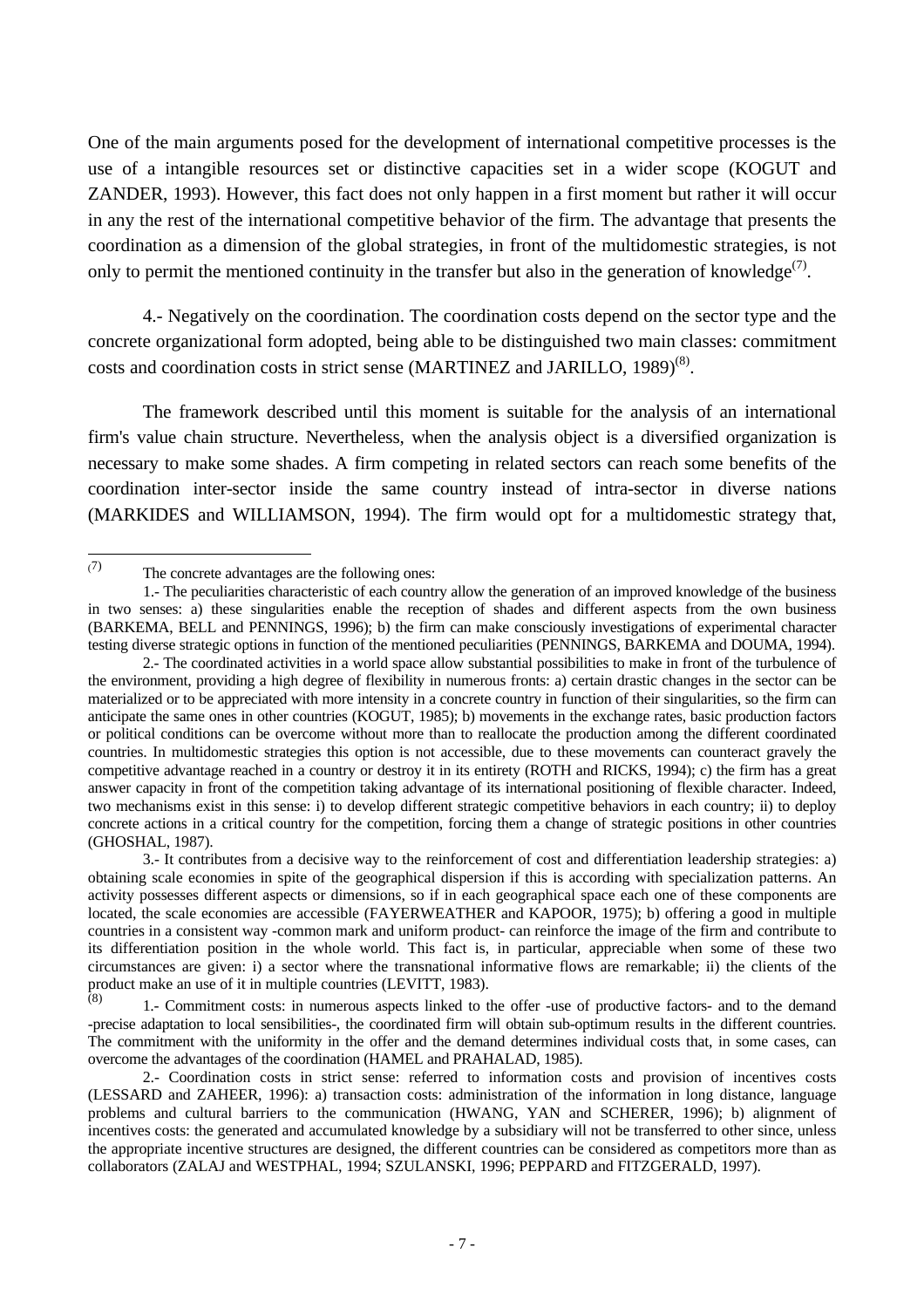One of the main arguments posed for the development of international competitive processes is the use of a intangible resources set or distinctive capacities set in a wider scope (KOGUT and ZANDER, 1993). However, this fact does not only happen in a first moment but rather it will occur in any the rest of the international competitive behavior of the firm. The advantage that presents the coordination as a dimension of the global strategies, in front of the multidomestic strategies, is not only to permit the mentioned continuity in the transfer but also in the generation of knowledge<sup>(7)</sup>.

4.- Negatively on the coordination. The coordination costs depend on the sector type and the concrete organizational form adopted, being able to be distinguished two main classes: commitment costs and coordination costs in strict sense (MARTINEZ and JARILLO, 1989)<sup>(8)</sup>.

The framework described until this moment is suitable for the analysis of an international firm's value chain structure. Nevertheless, when the analysis object is a diversified organization is necessary to make some shades. A firm competing in related sectors can reach some benefits of the coordination inter-sector inside the same country instead of intra-sector in diverse nations (MARKIDES and WILLIAMSON, 1994). The firm would opt for a multidomestic strategy that,

 $\overline{a}$ (7)

The concrete advantages are the following ones:

<sup>1.-</sup> The peculiarities characteristic of each country allow the generation of an improved knowledge of the business in two senses: a) these singularities enable the reception of shades and different aspects from the own business (BARKEMA, BELL and PENNINGS, 1996); b) the firm can make consciously investigations of experimental character testing diverse strategic options in function of the mentioned peculiarities (PENNINGS, BARKEMA and DOUMA, 1994).

<sup>2.-</sup> The coordinated activities in a world space allow substantial possibilities to make in front of the turbulence of the environment, providing a high degree of flexibility in numerous fronts: a) certain drastic changes in the sector can be materialized or to be appreciated with more intensity in a concrete country in function of their singularities, so the firm can anticipate the same ones in other countries (KOGUT, 1985); b) movements in the exchange rates, basic production factors or political conditions can be overcome without more than to reallocate the production among the different coordinated countries. In multidomestic strategies this option is not accessible, due to these movements can counteract gravely the competitive advantage reached in a country or destroy it in its entirety (ROTH and RICKS, 1994); c) the firm has a great answer capacity in front of the competition taking advantage of its international positioning of flexible character. Indeed, two mechanisms exist in this sense: i) to develop different strategic competitive behaviors in each country; ii) to deploy concrete actions in a critical country for the competition, forcing them a change of strategic positions in other countries (GHOSHAL, 1987).

<sup>3.-</sup> It contributes from a decisive way to the reinforcement of cost and differentiation leadership strategies: a) obtaining scale economies in spite of the geographical dispersion if this is according with specialization patterns. An activity possesses different aspects or dimensions, so if in each geographical space each one of these components are located, the scale economies are accessible (FAYERWEATHER and KAPOOR, 1975); b) offering a good in multiple countries in a consistent way -common mark and uniform product- can reinforce the image of the firm and contribute to its differentiation position in the whole world. This fact is, in particular, appreciable when some of these two circumstances are given: i) a sector where the transnational informative flows are remarkable; ii) the clients of the product make an use of it in multiple countries (LEVITT, 1983).

 $(8)$ 1.- Commitment costs: in numerous aspects linked to the offer -use of productive factors- and to the demand -precise adaptation to local sensibilities-, the coordinated firm will obtain sub-optimum results in the different countries. The commitment with the uniformity in the offer and the demand determines individual costs that, in some cases, can overcome the advantages of the coordination (HAMEL and PRAHALAD, 1985).

<sup>2.-</sup> Coordination costs in strict sense: referred to information costs and provision of incentives costs (LESSARD and ZAHEER, 1996): a) transaction costs: administration of the information in long distance, language problems and cultural barriers to the communication (HWANG, YAN and SCHERER, 1996); b) alignment of incentives costs: the generated and accumulated knowledge by a subsidiary will not be transferred to other since, unless the appropriate incentive structures are designed, the different countries can be considered as competitors more than as collaborators (ZALAJ and WESTPHAL, 1994; SZULANSKI, 1996; PEPPARD and FITZGERALD, 1997).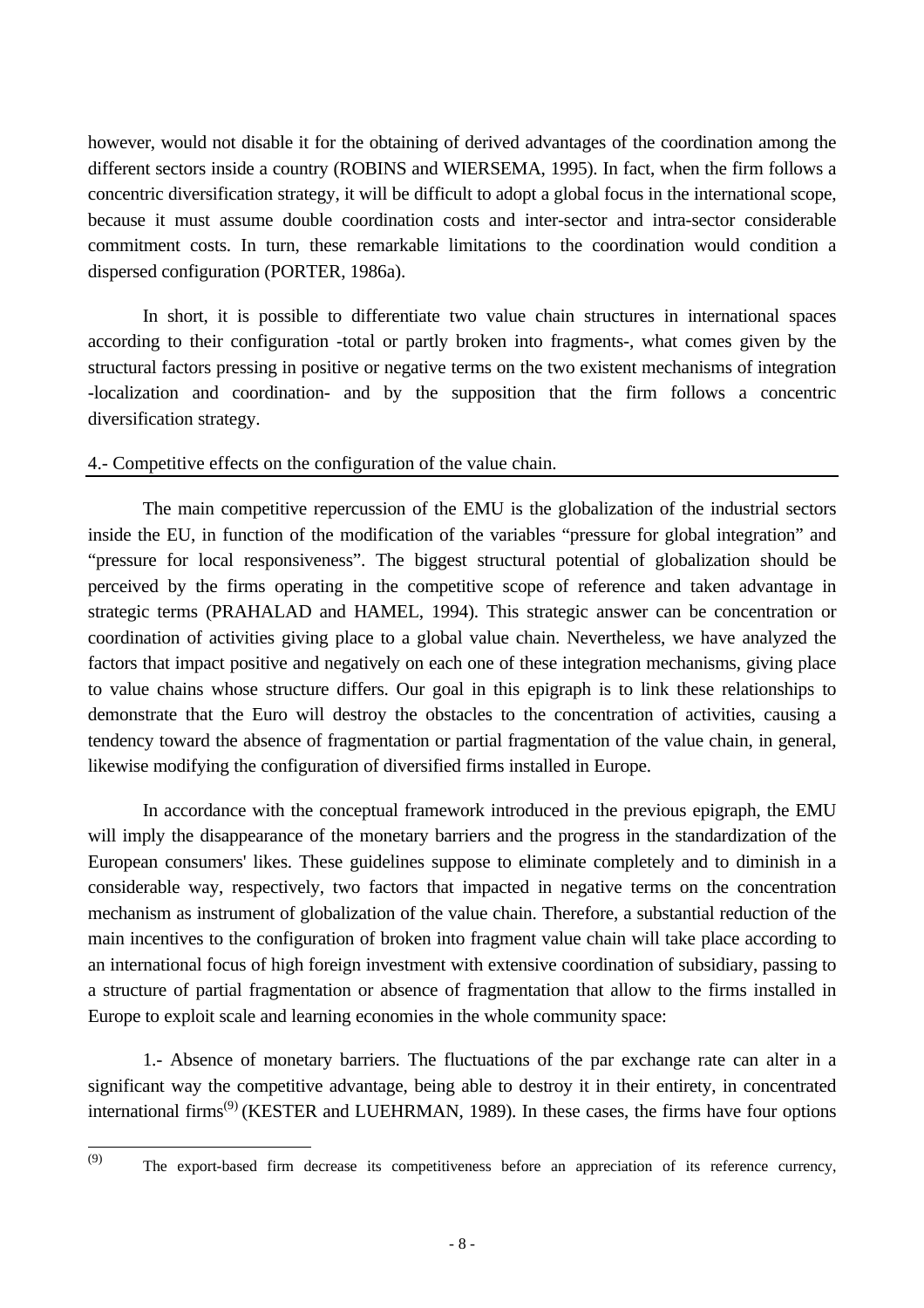however, would not disable it for the obtaining of derived advantages of the coordination among the different sectors inside a country (ROBINS and WIERSEMA, 1995). In fact, when the firm follows a concentric diversification strategy, it will be difficult to adopt a global focus in the international scope, because it must assume double coordination costs and inter-sector and intra-sector considerable commitment costs. In turn, these remarkable limitations to the coordination would condition a dispersed configuration (PORTER, 1986a).

In short, it is possible to differentiate two value chain structures in international spaces according to their configuration -total or partly broken into fragments-, what comes given by the structural factors pressing in positive or negative terms on the two existent mechanisms of integration -localization and coordination- and by the supposition that the firm follows a concentric diversification strategy.

## 4.- Competitive effects on the configuration of the value chain.

The main competitive repercussion of the EMU is the globalization of the industrial sectors inside the EU, in function of the modification of the variables "pressure for global integration" and "pressure for local responsiveness". The biggest structural potential of globalization should be perceived by the firms operating in the competitive scope of reference and taken advantage in strategic terms (PRAHALAD and HAMEL, 1994). This strategic answer can be concentration or coordination of activities giving place to a global value chain. Nevertheless, we have analyzed the factors that impact positive and negatively on each one of these integration mechanisms, giving place to value chains whose structure differs. Our goal in this epigraph is to link these relationships to demonstrate that the Euro will destroy the obstacles to the concentration of activities, causing a tendency toward the absence of fragmentation or partial fragmentation of the value chain, in general, likewise modifying the configuration of diversified firms installed in Europe.

In accordance with the conceptual framework introduced in the previous epigraph, the EMU will imply the disappearance of the monetary barriers and the progress in the standardization of the European consumers' likes. These guidelines suppose to eliminate completely and to diminish in a considerable way, respectively, two factors that impacted in negative terms on the concentration mechanism as instrument of globalization of the value chain. Therefore, a substantial reduction of the main incentives to the configuration of broken into fragment value chain will take place according to an international focus of high foreign investment with extensive coordination of subsidiary, passing to a structure of partial fragmentation or absence of fragmentation that allow to the firms installed in Europe to exploit scale and learning economies in the whole community space:

1.- Absence of monetary barriers. The fluctuations of the par exchange rate can alter in a significant way the competitive advantage, being able to destroy it in their entirety, in concentrated international firms<sup>(9)</sup> (KESTER and LUEHRMAN, 1989). In these cases, the firms have four options

(9)

The export-based firm decrease its competitiveness before an appreciation of its reference currency,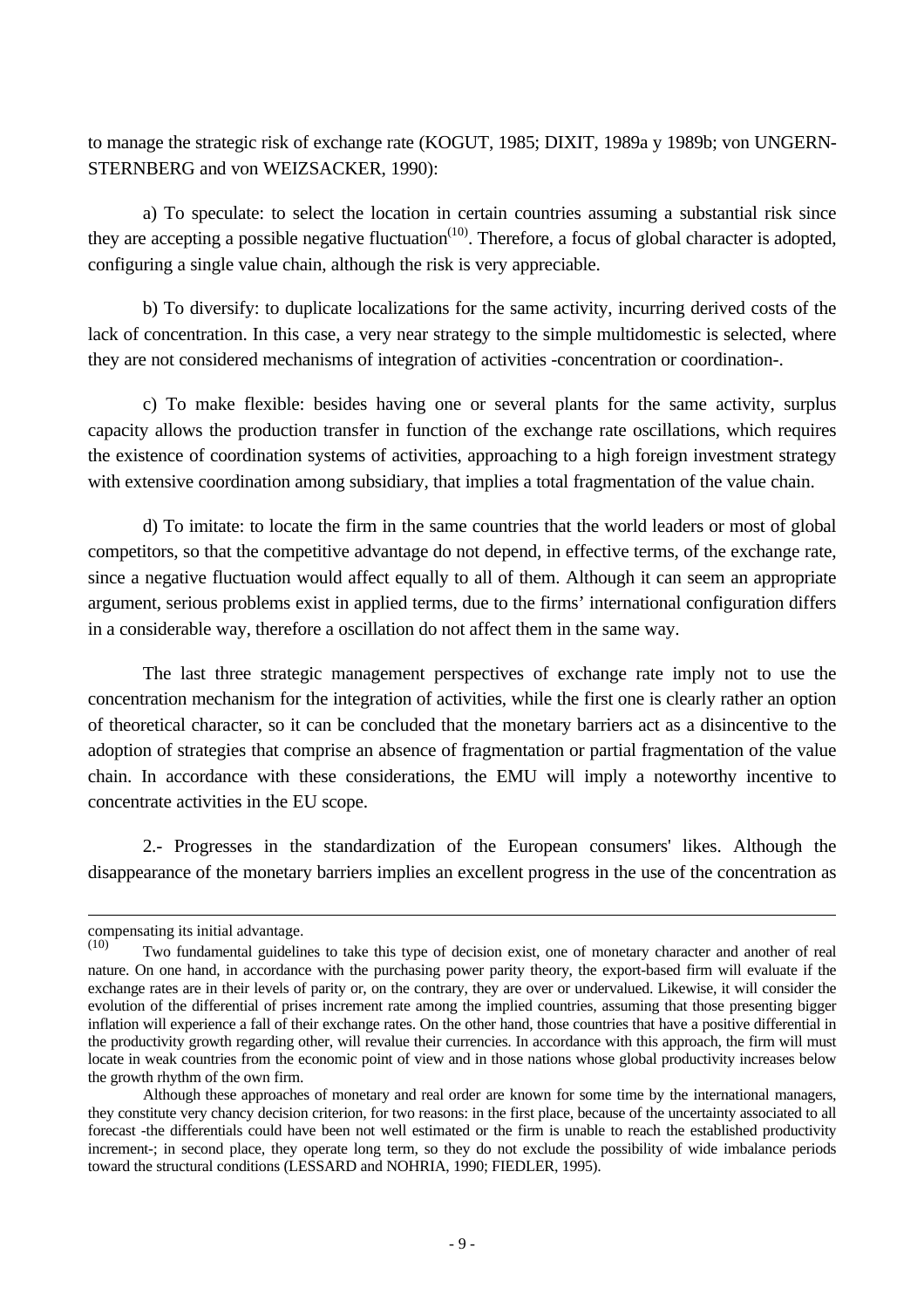to manage the strategic risk of exchange rate (KOGUT, 1985; DIXIT, 1989a y 1989b; von UNGERN-STERNBERG and von WEIZSACKER, 1990):

a) To speculate: to select the location in certain countries assuming a substantial risk since they are accepting a possible negative fluctuation<sup> $(10)$ </sup>. Therefore, a focus of global character is adopted, configuring a single value chain, although the risk is very appreciable.

b) To diversify: to duplicate localizations for the same activity, incurring derived costs of the lack of concentration. In this case, a very near strategy to the simple multidomestic is selected, where they are not considered mechanisms of integration of activities -concentration or coordination-.

c) To make flexible: besides having one or several plants for the same activity, surplus capacity allows the production transfer in function of the exchange rate oscillations, which requires the existence of coordination systems of activities, approaching to a high foreign investment strategy with extensive coordination among subsidiary, that implies a total fragmentation of the value chain.

d) To imitate: to locate the firm in the same countries that the world leaders or most of global competitors, so that the competitive advantage do not depend, in effective terms, of the exchange rate, since a negative fluctuation would affect equally to all of them. Although it can seem an appropriate argument, serious problems exist in applied terms, due to the firms' international configuration differs in a considerable way, therefore a oscillation do not affect them in the same way.

The last three strategic management perspectives of exchange rate imply not to use the concentration mechanism for the integration of activities, while the first one is clearly rather an option of theoretical character, so it can be concluded that the monetary barriers act as a disincentive to the adoption of strategies that comprise an absence of fragmentation or partial fragmentation of the value chain. In accordance with these considerations, the EMU will imply a noteworthy incentive to concentrate activities in the EU scope.

2.- Progresses in the standardization of the European consumers' likes. Although the disappearance of the monetary barriers implies an excellent progress in the use of the concentration as

 $\overline{a}$ 

compensating its initial advantage.

<sup>(10)</sup> Two fundamental guidelines to take this type of decision exist, one of monetary character and another of real nature. On one hand, in accordance with the purchasing power parity theory, the export-based firm will evaluate if the exchange rates are in their levels of parity or, on the contrary, they are over or undervalued. Likewise, it will consider the evolution of the differential of prises increment rate among the implied countries, assuming that those presenting bigger inflation will experience a fall of their exchange rates. On the other hand, those countries that have a positive differential in the productivity growth regarding other, will revalue their currencies. In accordance with this approach, the firm will must locate in weak countries from the economic point of view and in those nations whose global productivity increases below the growth rhythm of the own firm.

Although these approaches of monetary and real order are known for some time by the international managers, they constitute very chancy decision criterion, for two reasons: in the first place, because of the uncertainty associated to all forecast -the differentials could have been not well estimated or the firm is unable to reach the established productivity increment-; in second place, they operate long term, so they do not exclude the possibility of wide imbalance periods toward the structural conditions (LESSARD and NOHRIA, 1990; FIEDLER, 1995).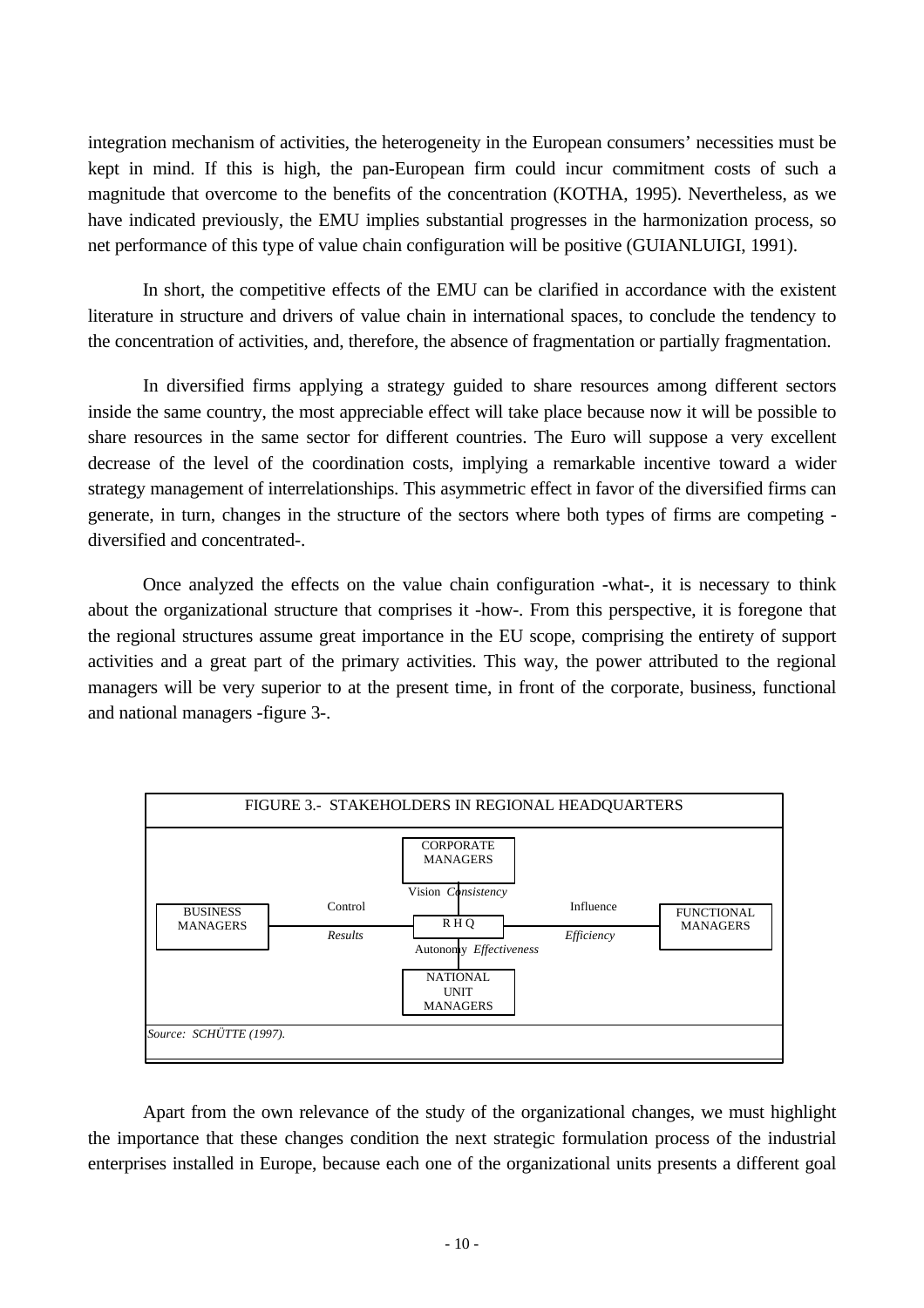integration mechanism of activities, the heterogeneity in the European consumers' necessities must be kept in mind. If this is high, the pan-European firm could incur commitment costs of such a magnitude that overcome to the benefits of the concentration (KOTHA, 1995). Nevertheless, as we have indicated previously, the EMU implies substantial progresses in the harmonization process, so net performance of this type of value chain configuration will be positive (GUIANLUIGI, 1991).

In short, the competitive effects of the EMU can be clarified in accordance with the existent literature in structure and drivers of value chain in international spaces, to conclude the tendency to the concentration of activities, and, therefore, the absence of fragmentation or partially fragmentation.

In diversified firms applying a strategy guided to share resources among different sectors inside the same country, the most appreciable effect will take place because now it will be possible to share resources in the same sector for different countries. The Euro will suppose a very excellent decrease of the level of the coordination costs, implying a remarkable incentive toward a wider strategy management of interrelationships. This asymmetric effect in favor of the diversified firms can generate, in turn, changes in the structure of the sectors where both types of firms are competing diversified and concentrated-.

Once analyzed the effects on the value chain configuration -what-, it is necessary to think about the organizational structure that comprises it -how-. From this perspective, it is foregone that the regional structures assume great importance in the EU scope, comprising the entirety of support activities and a great part of the primary activities. This way, the power attributed to the regional managers will be very superior to at the present time, in front of the corporate, business, functional and national managers -figure 3-.



Apart from the own relevance of the study of the organizational changes, we must highlight the importance that these changes condition the next strategic formulation process of the industrial enterprises installed in Europe, because each one of the organizational units presents a different goal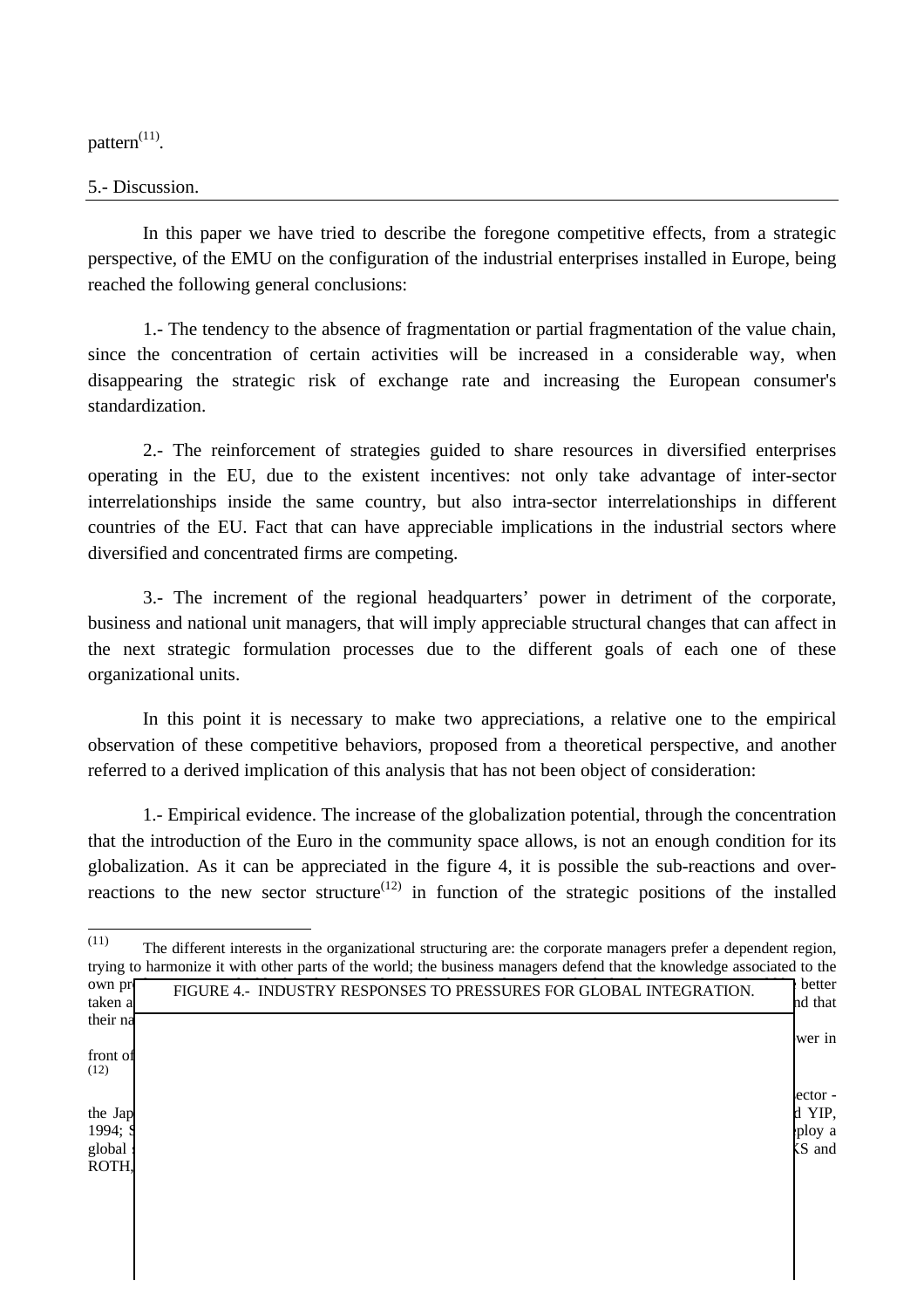pattern $^{(11)}$ .

## 5.- Discussion.

In this paper we have tried to describe the foregone competitive effects, from a strategic perspective, of the EMU on the configuration of the industrial enterprises installed in Europe, being reached the following general conclusions:

1.- The tendency to the absence of fragmentation or partial fragmentation of the value chain, since the concentration of certain activities will be increased in a considerable way, when disappearing the strategic risk of exchange rate and increasing the European consumer's standardization.

2.- The reinforcement of strategies guided to share resources in diversified enterprises operating in the EU, due to the existent incentives: not only take advantage of inter-sector interrelationships inside the same country, but also intra-sector interrelationships in different countries of the EU. Fact that can have appreciable implications in the industrial sectors where diversified and concentrated firms are competing.

3.- The increment of the regional headquarters' power in detriment of the corporate, business and national unit managers, that will imply appreciable structural changes that can affect in the next strategic formulation processes due to the different goals of each one of these organizational units.

In this point it is necessary to make two appreciations, a relative one to the empirical observation of these competitive behaviors, proposed from a theoretical perspective, and another referred to a derived implication of this analysis that has not been object of consideration:

1.- Empirical evidence. The increase of the globalization potential, through the concentration that the introduction of the Euro in the community space allows, is not an enough condition for its globalization. As it can be appreciated in the figure 4, it is possible the sub-reactions and overreactions to the new sector structure<sup> $(12)$ </sup> in function of the strategic positions of the installed

 $\frac{1}{(11)}$ The different interests in the organizational structuring are: the corporate managers prefer a dependent region, trying to harmonize it with other parts of the world; the business managers defend that the knowledge associated to the own pr**oduct is more value of the function** one; the functional manager than the function of the function of the function of the function of  $\mathbb{R}$ taken a divantage of extending it to all the without adaptations; the national managers try to make understand that their national markets are different to those of the region (MORRISON, RICKS and ROTH, 1991).  $T_{\text{N}}$  will imply the organization of the organization of the regional managers in front of the existent situation at the present time (SCHUTTE, 1997). (12)  $1.5$  sub-development: it can be due to an inadequate perception of the potential of  $\alpha$ the Japanese firms usually see a superior potential that the European and American ones- (JOHANSSON and YIP, 1994;  $S_{\text{p}}$ global strategy, strategy, strategy, strategy, strategy, strategy,  $\frac{1}{N}$  and sector (MORRISON, RICKS and  $\frac{1}{N}$  $\overline{R}$ OTH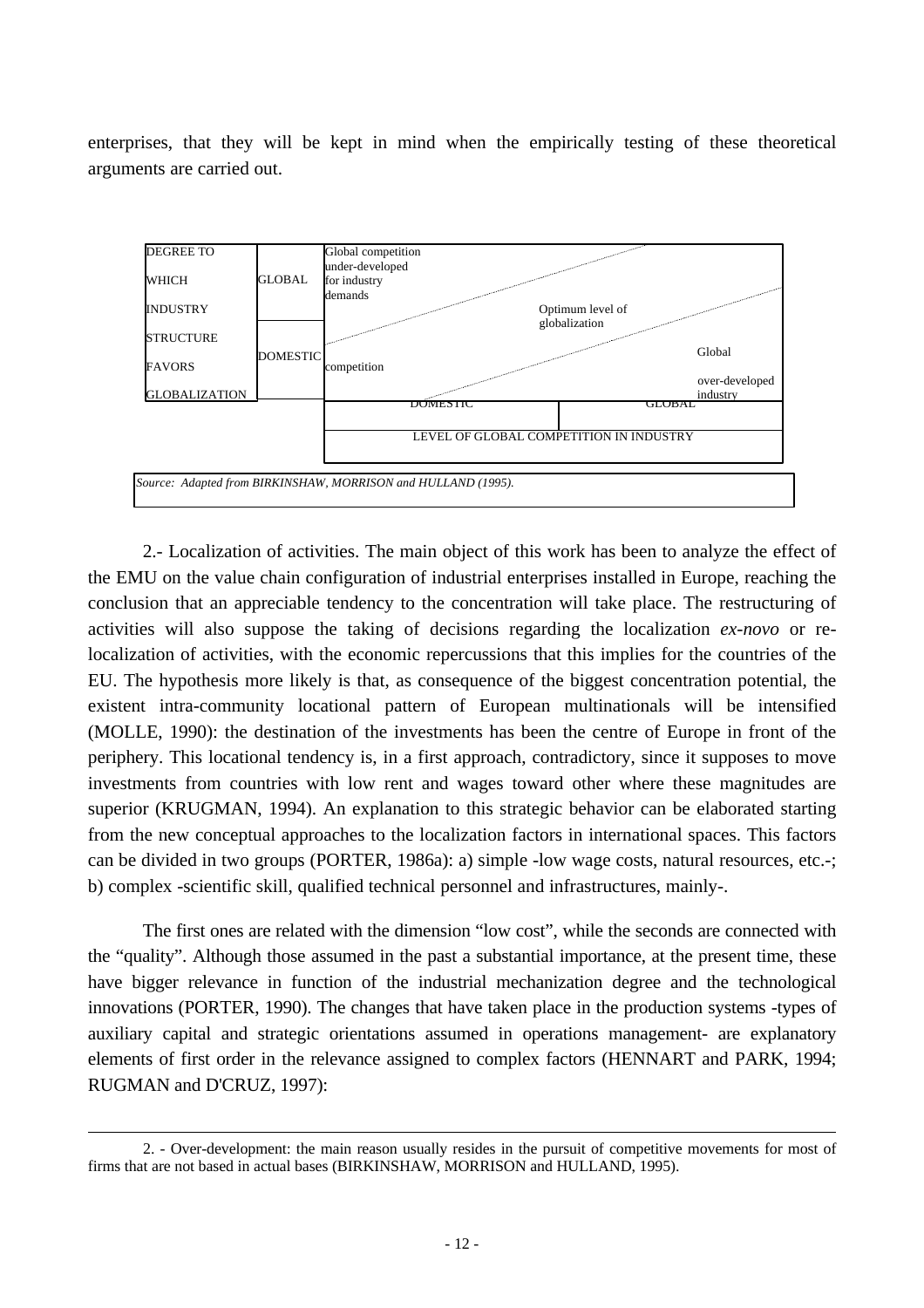enterprises, that they will be kept in mind when the empirically testing of these theoretical arguments are carried out.



2.- Localization of activities. The main object of this work has been to analyze the effect of the EMU on the value chain configuration of industrial enterprises installed in Europe, reaching the conclusion that an appreciable tendency to the concentration will take place. The restructuring of activities will also suppose the taking of decisions regarding the localization *ex-novo* or relocalization of activities, with the economic repercussions that this implies for the countries of the EU. The hypothesis more likely is that, as consequence of the biggest concentration potential, the existent intra-community locational pattern of European multinationals will be intensified (MOLLE, 1990): the destination of the investments has been the centre of Europe in front of the periphery. This locational tendency is, in a first approach, contradictory, since it supposes to move investments from countries with low rent and wages toward other where these magnitudes are superior (KRUGMAN, 1994). An explanation to this strategic behavior can be elaborated starting from the new conceptual approaches to the localization factors in international spaces. This factors can be divided in two groups (PORTER, 1986a): a) simple -low wage costs, natural resources, etc.-; b) complex -scientific skill, qualified technical personnel and infrastructures, mainly-.

The first ones are related with the dimension "low cost", while the seconds are connected with the "quality". Although those assumed in the past a substantial importance, at the present time, these have bigger relevance in function of the industrial mechanization degree and the technological innovations (PORTER, 1990). The changes that have taken place in the production systems -types of auxiliary capital and strategic orientations assumed in operations management- are explanatory elements of first order in the relevance assigned to complex factors (HENNART and PARK, 1994; RUGMAN and D'CRUZ, 1997):

 $\overline{a}$ 

<sup>2. -</sup> Over-development: the main reason usually resides in the pursuit of competitive movements for most of firms that are not based in actual bases (BIRKINSHAW, MORRISON and HULLAND, 1995).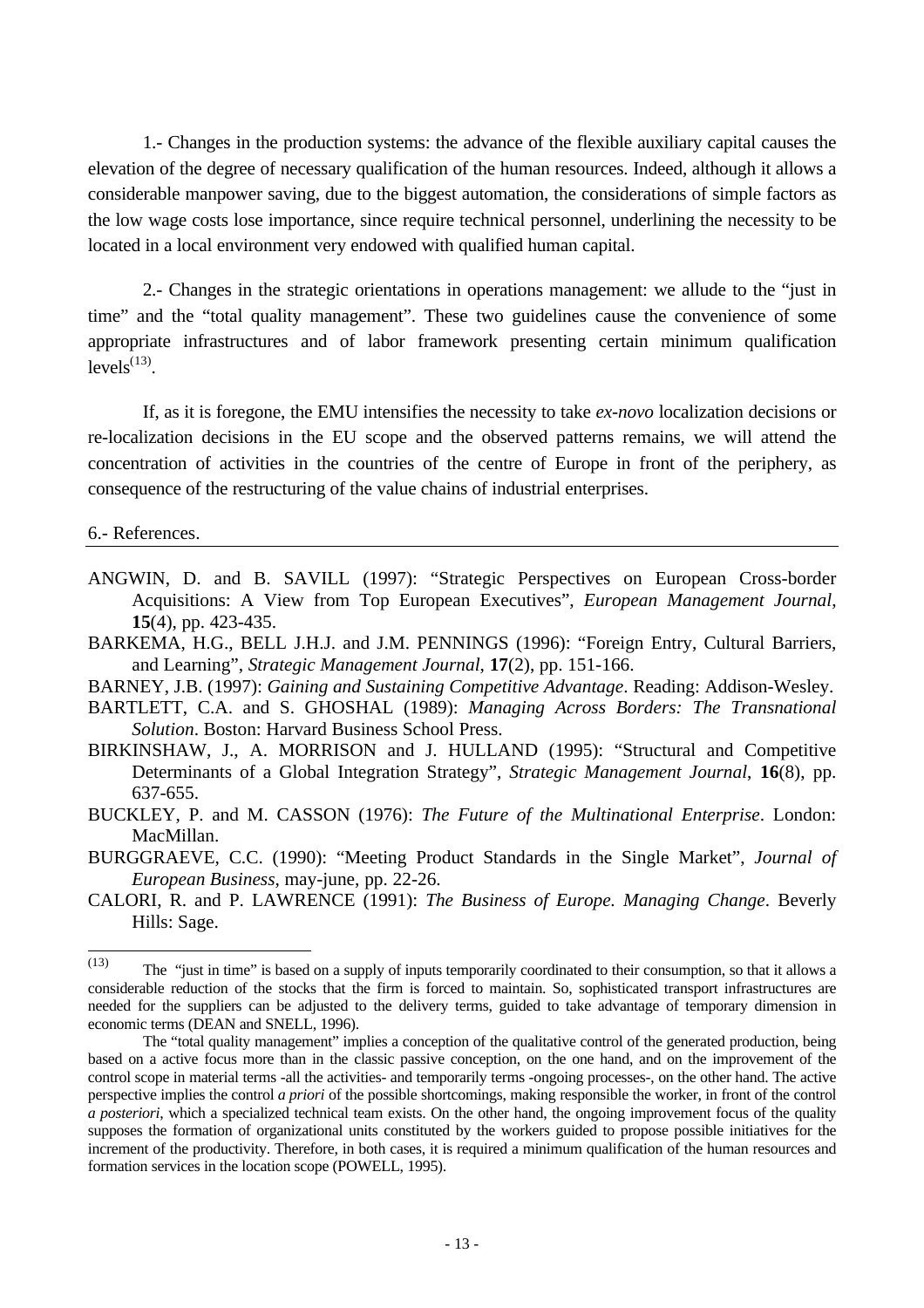1.- Changes in the production systems: the advance of the flexible auxiliary capital causes the elevation of the degree of necessary qualification of the human resources. Indeed, although it allows a considerable manpower saving, due to the biggest automation, the considerations of simple factors as the low wage costs lose importance, since require technical personnel, underlining the necessity to be located in a local environment very endowed with qualified human capital.

2.- Changes in the strategic orientations in operations management: we allude to the "just in time" and the "total quality management". These two guidelines cause the convenience of some appropriate infrastructures and of labor framework presenting certain minimum qualification  $levels<sup>(13)</sup>$ .

If, as it is foregone, the EMU intensifies the necessity to take *ex-novo* localization decisions or re-localization decisions in the EU scope and the observed patterns remains, we will attend the concentration of activities in the countries of the centre of Europe in front of the periphery, as consequence of the restructuring of the value chains of industrial enterprises.

6.- References.

- ANGWIN, D. and B. SAVILL (1997): "Strategic Perspectives on European Cross-border Acquisitions: A View from Top European Executives", *European Management Journal*, **15**(4), pp. 423-435.
- BARKEMA, H.G., BELL J.H.J. and J.M. PENNINGS (1996): "Foreign Entry, Cultural Barriers, and Learning", *Strategic Management Journal*, **17**(2), pp. 151-166.
- BARNEY, J.B. (1997): *Gaining and Sustaining Competitive Advantage*. Reading: Addison-Wesley.
- BARTLETT, C.A. and S. GHOSHAL (1989): *Managing Across Borders: The Transnational Solution*. Boston: Harvard Business School Press.
- BIRKINSHAW, J., A. MORRISON and J. HULLAND (1995): "Structural and Competitive Determinants of a Global Integration Strategy", *Strategic Management Journal*, **16**(8), pp. 637-655.
- BUCKLEY, P. and M. CASSON (1976): *The Future of the Multinational Enterprise*. London: MacMillan.
- BURGGRAEVE, C.C. (1990): "Meeting Product Standards in the Single Market", *Journal of European Business*, may-june, pp. 22-26.
- CALORI, R. and P. LAWRENCE (1991): *The Business of Europe. Managing Change*. Beverly Hills: Sage.

 $\frac{1}{(13)}$ The "just in time" is based on a supply of inputs temporarily coordinated to their consumption, so that it allows a considerable reduction of the stocks that the firm is forced to maintain. So, sophisticated transport infrastructures are needed for the suppliers can be adjusted to the delivery terms, guided to take advantage of temporary dimension in economic terms (DEAN and SNELL, 1996).

The "total quality management" implies a conception of the qualitative control of the generated production, being based on a active focus more than in the classic passive conception, on the one hand, and on the improvement of the control scope in material terms -all the activities- and temporarily terms -ongoing processes-, on the other hand. The active perspective implies the control *a priori* of the possible shortcomings, making responsible the worker, in front of the control *a posteriori*, which a specialized technical team exists. On the other hand, the ongoing improvement focus of the quality supposes the formation of organizational units constituted by the workers guided to propose possible initiatives for the increment of the productivity. Therefore, in both cases, it is required a minimum qualification of the human resources and formation services in the location scope (POWELL, 1995).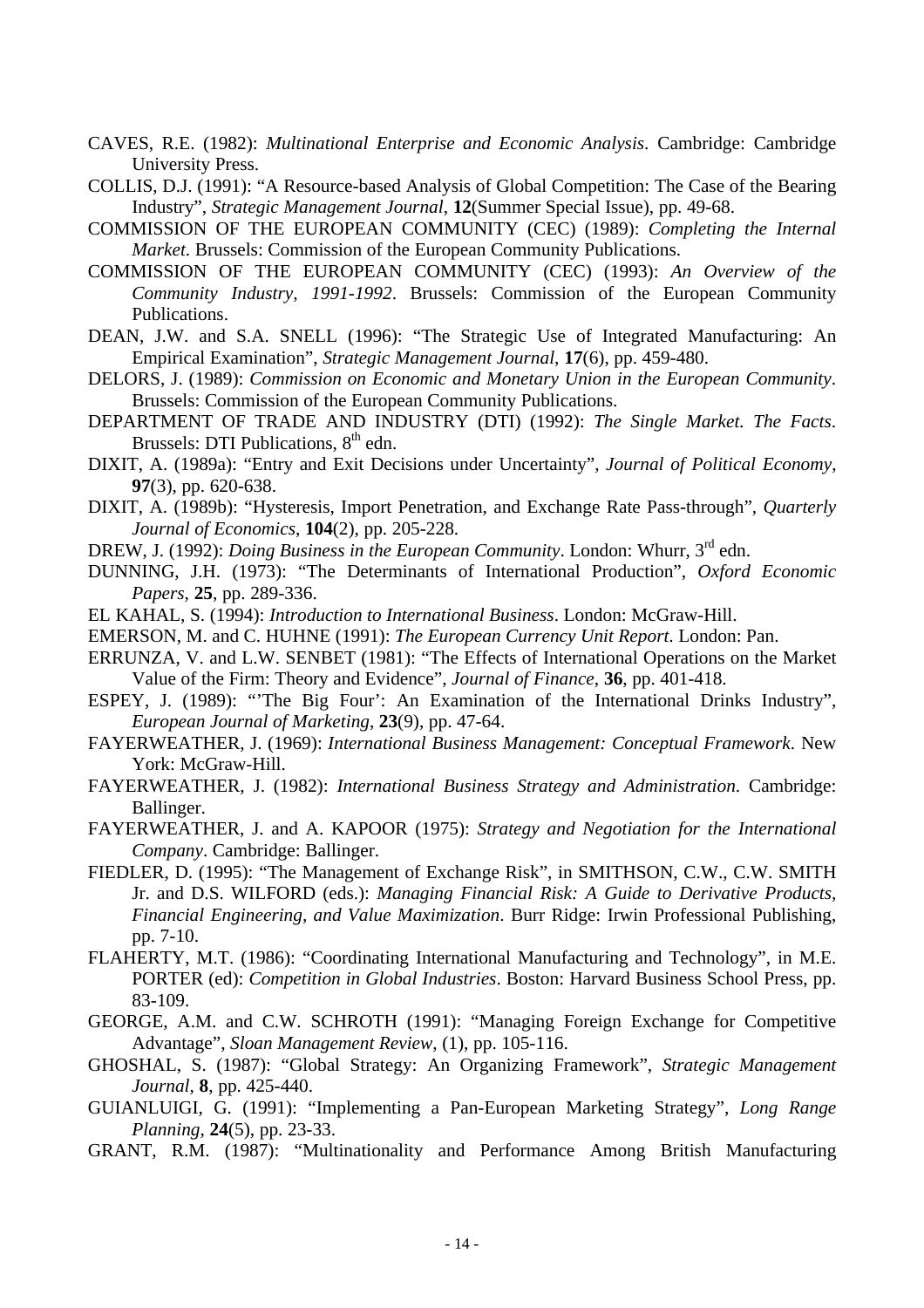- CAVES, R.E. (1982): *Multinational Enterprise and Economic Analysis*. Cambridge: Cambridge University Press.
- COLLIS, D.J. (1991): "A Resource-based Analysis of Global Competition: The Case of the Bearing Industry", *Strategic Management Journal*, **12**(Summer Special Issue), pp. 49-68.
- COMMISSION OF THE EUROPEAN COMMUNITY (CEC) (1989): *Completing the Internal Market*. Brussels: Commission of the European Community Publications.
- COMMISSION OF THE EUROPEAN COMMUNITY (CEC) (1993): *An Overview of the Community Industry, 1991-1992*. Brussels: Commission of the European Community Publications.
- DEAN, J.W. and S.A. SNELL (1996): "The Strategic Use of Integrated Manufacturing: An Empirical Examination", *Strategic Management Journal*, **17**(6), pp. 459-480.
- DELORS, J. (1989): *Commission on Economic and Monetary Union in the European Community*. Brussels: Commission of the European Community Publications.
- DEPARTMENT OF TRADE AND INDUSTRY (DTI) (1992): *The Single Market. The Facts*. Brussels: DTI Publications,  $8<sup>th</sup>$  edn.
- DIXIT, A. (1989a): "Entry and Exit Decisions under Uncertainty", *Journal of Political Economy*, **97**(3), pp. 620-638.
- DIXIT, A. (1989b): "Hysteresis, Import Penetration, and Exchange Rate Pass-through", *Quarterly Journal of Economics*, **104**(2), pp. 205-228.
- DREW, J. (1992): *Doing Business in the European Community*. London: Whurr, 3<sup>rd</sup> edn.
- DUNNING, J.H. (1973): "The Determinants of International Production", *Oxford Economic Papers*, **25**, pp. 289-336.
- EL KAHAL, S. (1994): *Introduction to International Business*. London: McGraw-Hill.
- EMERSON, M. and C. HUHNE (1991): *The European Currency Unit Report*. London: Pan.
- ERRUNZA, V. and L.W. SENBET (1981): "The Effects of International Operations on the Market Value of the Firm: Theory and Evidence", *Journal of Finance*, **36**, pp. 401-418.
- ESPEY, J. (1989): "'The Big Four': An Examination of the International Drinks Industry", *European Journal of Marketing*, **23**(9), pp. 47-64.
- FAYERWEATHER, J. (1969): *International Business Management: Conceptual Framework*. New York: McGraw-Hill.
- FAYERWEATHER, J. (1982): *International Business Strategy and Administration*. Cambridge: Ballinger.
- FAYERWEATHER, J. and A. KAPOOR (1975): *Strategy and Negotiation for the International Company*. Cambridge: Ballinger.
- FIEDLER, D. (1995): "The Management of Exchange Risk", in SMITHSON, C.W., C.W. SMITH Jr. and D.S. WILFORD (eds.): *Managing Financial Risk: A Guide to Derivative Products, Financial Engineering, and Value Maximization*. Burr Ridge: Irwin Professional Publishing, pp. 7-10.
- FLAHERTY, M.T. (1986): "Coordinating International Manufacturing and Technology", in M.E. PORTER (ed): *Competition in Global Industries*. Boston: Harvard Business School Press, pp. 83-109.
- GEORGE, A.M. and C.W. SCHROTH (1991): "Managing Foreign Exchange for Competitive Advantage", *Sloan Management Review*, (1), pp. 105-116.
- GHOSHAL, S. (1987): "Global Strategy: An Organizing Framework", *Strategic Management Journal*, **8**, pp. 425-440.
- GUIANLUIGI, G. (1991): "Implementing a Pan-European Marketing Strategy", *Long Range Planning*, **24**(5), pp. 23-33.
- GRANT, R.M. (1987): "Multinationality and Performance Among British Manufacturing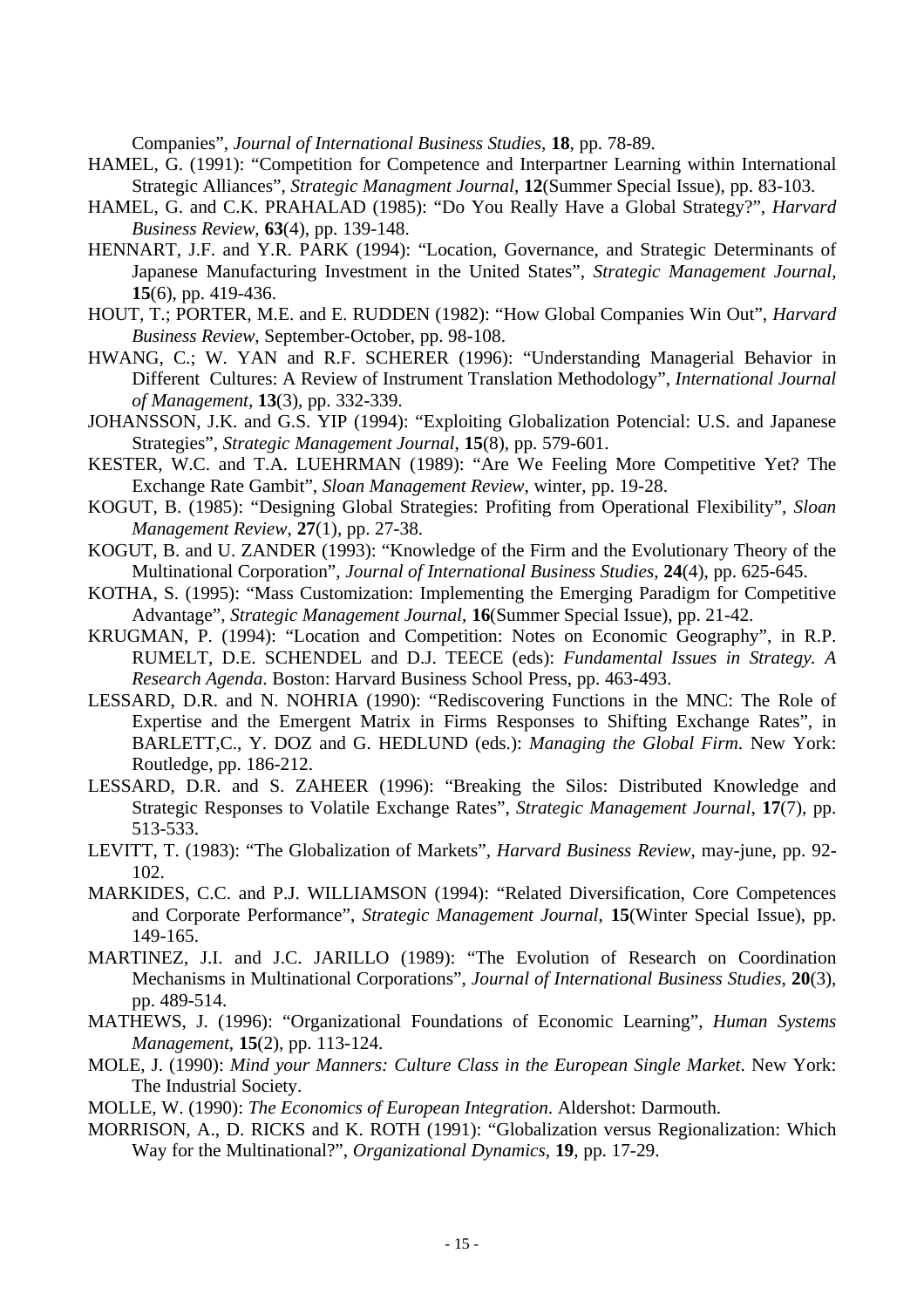Companies", *Journal of International Business Studies*, **18**, pp. 78-89.

- HAMEL, G. (1991): "Competition for Competence and Interpartner Learning within International Strategic Alliances", *Strategic Managment Journal*, **12**(Summer Special Issue), pp. 83-103.
- HAMEL, G. and C.K. PRAHALAD (1985): "Do You Really Have a Global Strategy?", *Harvard Business Review*, **63**(4), pp. 139-148.
- HENNART, J.F. and Y.R. PARK (1994): "Location, Governance, and Strategic Determinants of Japanese Manufacturing Investment in the United States", *Strategic Management Journal*, **15**(6), pp. 419-436.
- HOUT, T.; PORTER, M.E. and E. RUDDEN (1982): "How Global Companies Win Out", *Harvard Business Review*, September-October, pp. 98-108.
- HWANG, C.; W. YAN and R.F. SCHERER (1996): "Understanding Managerial Behavior in Different Cultures: A Review of Instrument Translation Methodology", *International Journal of Management*, **13**(3), pp. 332-339.
- JOHANSSON, J.K. and G.S. YIP (1994): "Exploiting Globalization Potencial: U.S. and Japanese Strategies", *Strategic Management Journal*, **15**(8), pp. 579-601.
- KESTER, W.C. and T.A. LUEHRMAN (1989): "Are We Feeling More Competitive Yet? The Exchange Rate Gambit", *Sloan Management Review*, winter, pp. 19-28.
- KOGUT, B. (1985): "Designing Global Strategies: Profiting from Operational Flexibility", *Sloan Management Review*, **27**(1), pp. 27-38.
- KOGUT, B. and U. ZANDER (1993): "Knowledge of the Firm and the Evolutionary Theory of the Multinational Corporation", *Journal of International Business Studies*, **24**(4), pp. 625-645.
- KOTHA, S. (1995): "Mass Customization: Implementing the Emerging Paradigm for Competitive Advantage", *Strategic Management Journal*, **16**(Summer Special Issue), pp. 21-42.
- KRUGMAN, P. (1994): "Location and Competition: Notes on Economic Geography", in R.P. RUMELT, D.E. SCHENDEL and D.J. TEECE (eds): *Fundamental Issues in Strategy. A Research Agenda*. Boston: Harvard Business School Press, pp. 463-493.
- LESSARD, D.R. and N. NOHRIA (1990): "Rediscovering Functions in the MNC: The Role of Expertise and the Emergent Matrix in Firms Responses to Shifting Exchange Rates", in BARLETT,C., Y. DOZ and G. HEDLUND (eds.): *Managing the Global Firm*. New York: Routledge, pp. 186-212.
- LESSARD, D.R. and S. ZAHEER (1996): "Breaking the Silos: Distributed Knowledge and Strategic Responses to Volatile Exchange Rates", *Strategic Management Journal*, **17**(7), pp. 513-533.
- LEVITT, T. (1983): "The Globalization of Markets", *Harvard Business Review*, may-june, pp. 92- 102.
- MARKIDES, C.C. and P.J. WILLIAMSON (1994): "Related Diversification, Core Competences and Corporate Performance", *Strategic Management Journal*, **15**(Winter Special Issue), pp. 149-165.
- MARTINEZ, J.I. and J.C. JARILLO (1989): "The Evolution of Research on Coordination Mechanisms in Multinational Corporations", *Journal of International Business Studies*, **20**(3), pp. 489-514.
- MATHEWS, J. (1996): "Organizational Foundations of Economic Learning", *Human Systems Management*, **15**(2), pp. 113-124.
- MOLE, J. (1990): *Mind your Manners: Culture Class in the European Single Market*. New York: The Industrial Society.
- MOLLE, W. (1990): *The Economics of European Integration*. Aldershot: Darmouth.
- MORRISON, A., D. RICKS and K. ROTH (1991): "Globalization versus Regionalization: Which Way for the Multinational?", *Organizational Dynamics*, **19**, pp. 17-29.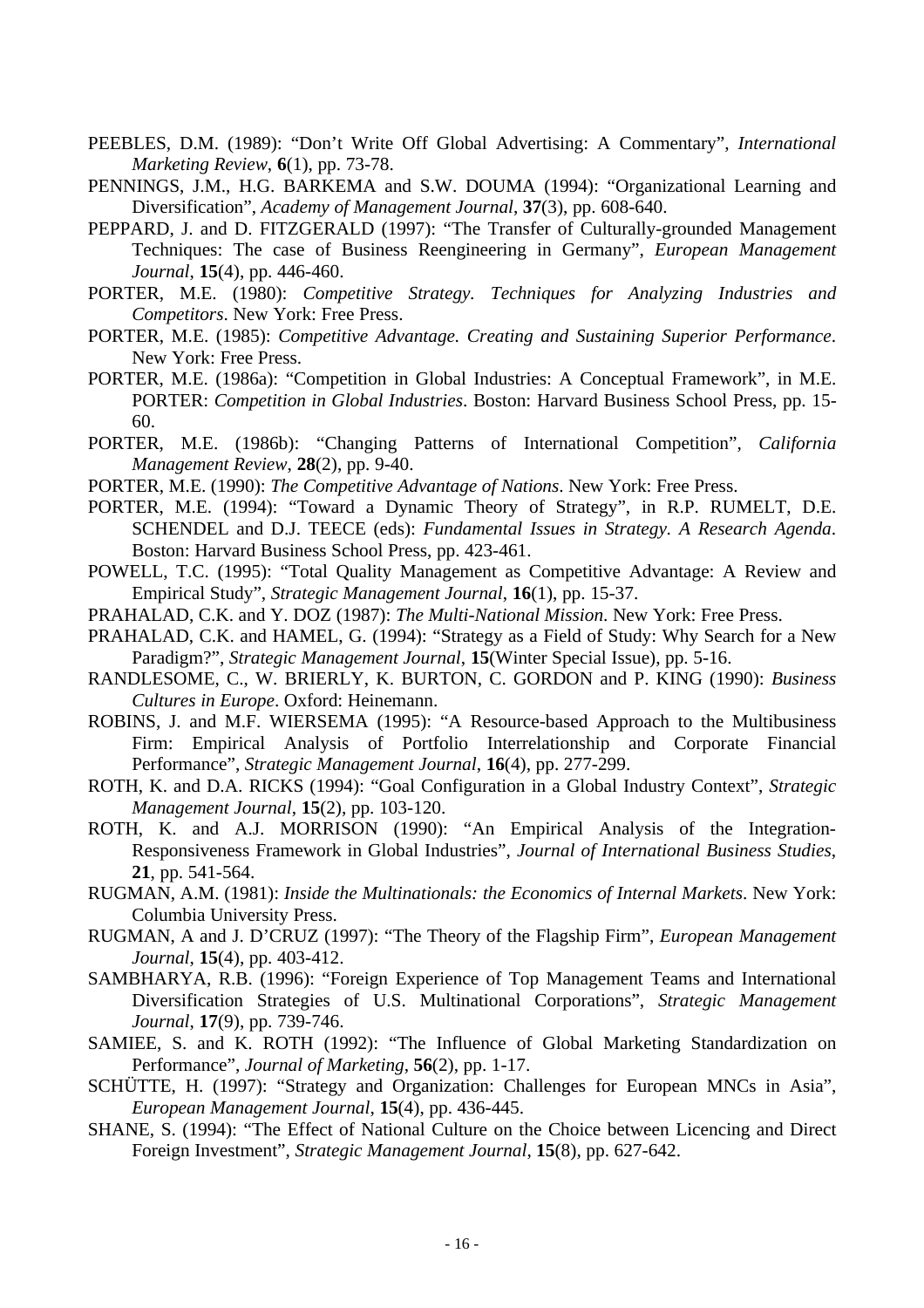- PEEBLES, D.M. (1989): "Don't Write Off Global Advertising: A Commentary", *International Marketing Review*, **6**(1), pp. 73-78.
- PENNINGS, J.M., H.G. BARKEMA and S.W. DOUMA (1994): "Organizational Learning and Diversification", *Academy of Management Journal*, **37**(3), pp. 608-640.
- PEPPARD, J. and D. FITZGERALD (1997): "The Transfer of Culturally-grounded Management Techniques: The case of Business Reengineering in Germany", *European Management Journal*, **15**(4), pp. 446-460.
- PORTER, M.E. (1980): *Competitive Strategy. Techniques for Analyzing Industries and Competitors*. New York: Free Press.
- PORTER, M.E. (1985): *Competitive Advantage. Creating and Sustaining Superior Performance*. New York: Free Press.
- PORTER, M.E. (1986a): "Competition in Global Industries: A Conceptual Framework", in M.E. PORTER: *Competition in Global Industries*. Boston: Harvard Business School Press, pp. 15- 60.
- PORTER, M.E. (1986b): "Changing Patterns of International Competition", *California Management Review*, **28**(2), pp. 9-40.
- PORTER, M.E. (1990): *The Competitive Advantage of Nations*. New York: Free Press.
- PORTER, M.E. (1994): "Toward a Dynamic Theory of Strategy", in R.P. RUMELT, D.E. SCHENDEL and D.J. TEECE (eds): *Fundamental Issues in Strategy. A Research Agenda*. Boston: Harvard Business School Press, pp. 423-461.
- POWELL, T.C. (1995): "Total Quality Management as Competitive Advantage: A Review and Empirical Study", *Strategic Management Journal*, **16**(1), pp. 15-37.
- PRAHALAD, C.K. and Y. DOZ (1987): *The Multi-National Mission*. New York: Free Press.
- PRAHALAD, C.K. and HAMEL, G. (1994): "Strategy as a Field of Study: Why Search for a New Paradigm?", *Strategic Management Journal*, **15**(Winter Special Issue), pp. 5-16.
- RANDLESOME, C., W. BRIERLY, K. BURTON, C. GORDON and P. KING (1990): *Business Cultures in Europe*. Oxford: Heinemann.
- ROBINS, J. and M.F. WIERSEMA (1995): "A Resource-based Approach to the Multibusiness Firm: Empirical Analysis of Portfolio Interrelationship and Corporate Financial Performance", *Strategic Management Journal*, **16**(4), pp. 277-299.
- ROTH, K. and D.A. RICKS (1994): "Goal Configuration in a Global Industry Context", *Strategic Management Journal*, **15**(2), pp. 103-120.
- ROTH, K. and A.J. MORRISON (1990): "An Empirical Analysis of the Integration-Responsiveness Framework in Global Industries", *Journal of International Business Studies*, **21**, pp. 541-564.
- RUGMAN, A.M. (1981): *Inside the Multinationals: the Economics of Internal Markets*. New York: Columbia University Press.
- RUGMAN, A and J. D'CRUZ (1997): "The Theory of the Flagship Firm", *European Management Journal*, **15**(4), pp. 403-412.
- SAMBHARYA, R.B. (1996): "Foreign Experience of Top Management Teams and International Diversification Strategies of U.S. Multinational Corporations", *Strategic Management Journal*, **17**(9), pp. 739-746.
- SAMIEE, S. and K. ROTH (1992): "The Influence of Global Marketing Standardization on Performance", *Journal of Marketing*, **56**(2), pp. 1-17.
- SCHÜTTE, H. (1997): "Strategy and Organization: Challenges for European MNCs in Asia", *European Management Journal*, **15**(4), pp. 436-445.
- SHANE, S. (1994): "The Effect of National Culture on the Choice between Licencing and Direct Foreign Investment", *Strategic Management Journal*, **15**(8), pp. 627-642.